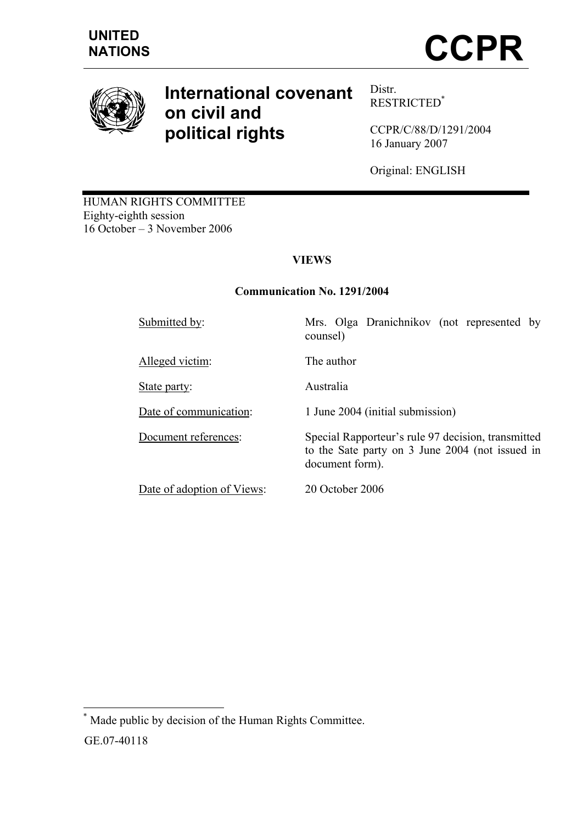

# **International covenant on civil and political rights**

Distr. RESTRICTED\*

CCPR/C/88/D/1291/2004 16 January 2007

Original: ENGLISH

to the Sate party on 3 June 2004 (not issued in

HUMAN RIGHTS COMMITTEE Eighty-eighth session 16 October – 3 November 2006

# **VIEWS**

# **Communication No. 1291/2004**

counsel)

Submitted by: Mrs. Olga Dranichnikov (not represented by

Alleged victim: The author

State party: Australia

Date of communication: 1 June 2004 (initial submission)

Document references: Special Rapporteur's rule 97 decision, transmitted

Date of adoption of Views: 20 October 2006

document form).

\* Made public by decision of the Human Rights Committee.

GE.07-40118

 $\overline{a}$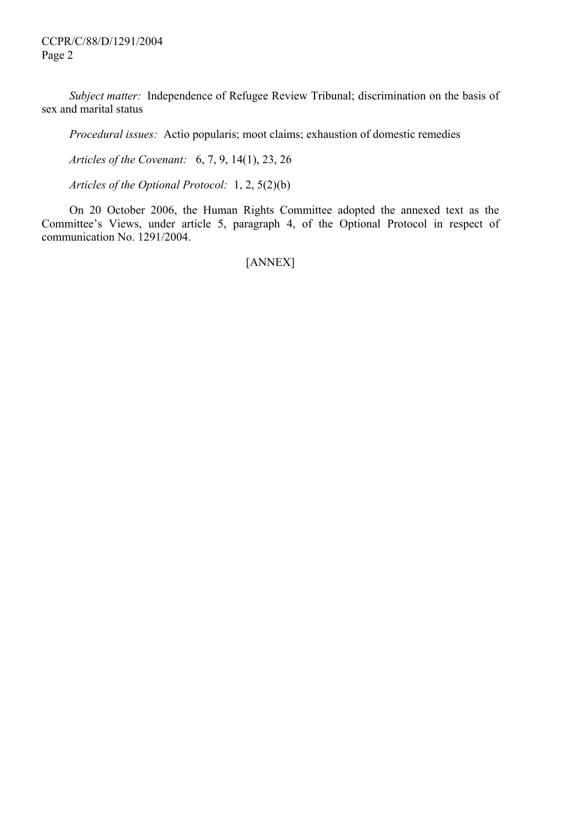*Subject matter:* Independence of Refugee Review Tribunal; discrimination on the basis of sex and marital status

 *Procedural issues:* Actio popularis; moot claims; exhaustion of domestic remedies

 *Articles of the Covenant:* 6, 7, 9, 14(1), 23, 26

 *Articles of the Optional Protocol:* 1, 2, 5(2)(b)

 On 20 October 2006, the Human Rights Committee adopted the annexed text as the Committee's Views, under article 5, paragraph 4, of the Optional Protocol in respect of communication No. 1291/2004.

[ANNEX]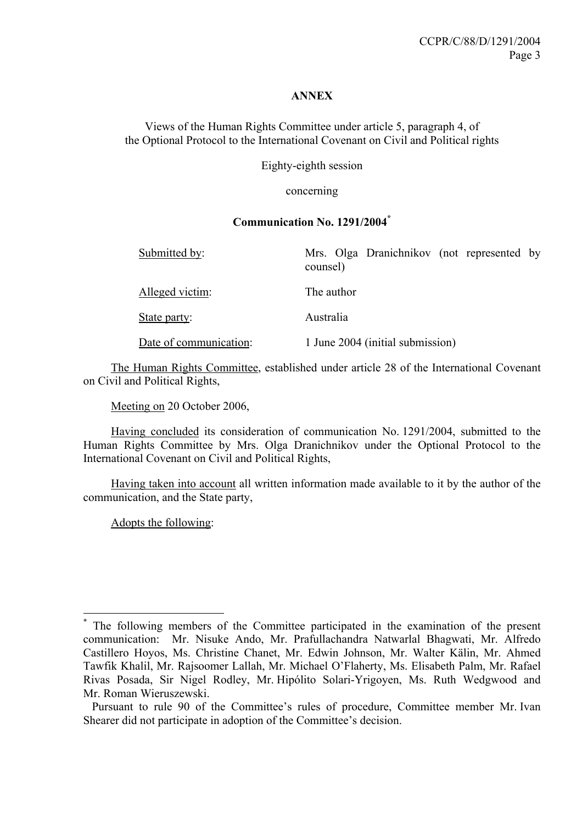## **ANNEX**

Views of the Human Rights Committee under article 5, paragraph 4, of the Optional Protocol to the International Covenant on Civil and Political rights

Eighty-eighth session

concerning

## **Communication No. 1291/2004\***

| Submitted by:          | Mrs. Olga Dranichnikov (not represented by<br>counsel) |
|------------------------|--------------------------------------------------------|
| Alleged victim:        | The author                                             |
| State party:           | Australia                                              |
| Date of communication: | 1 June 2004 (initial submission)                       |

 The Human Rights Committee, established under article 28 of the International Covenant on Civil and Political Rights,

Meeting on 20 October 2006,

 Having concluded its consideration of communication No. 1291/2004, submitted to the Human Rights Committee by Mrs. Olga Dranichnikov under the Optional Protocol to the International Covenant on Civil and Political Rights,

 Having taken into account all written information made available to it by the author of the communication, and the State party,

Adopts the following:

 $\overline{a}$ 

<sup>\*</sup> The following members of the Committee participated in the examination of the present communication: Mr. Nisuke Ando, Mr. Prafullachandra Natwarlal Bhagwati, Mr. Alfredo Castillero Hoyos, Ms. Christine Chanet, Mr. Edwin Johnson, Mr. Walter Kälin, Mr. Ahmed Tawfik Khalil, Mr. Rajsoomer Lallah, Mr. Michael O'Flaherty, Ms. Elisabeth Palm, Mr. Rafael Rivas Posada, Sir Nigel Rodley, Mr. Hipólito Solari-Yrigoyen, Ms. Ruth Wedgwood and Mr. Roman Wieruszewski.

Pursuant to rule 90 of the Committee's rules of procedure, Committee member Mr. Ivan Shearer did not participate in adoption of the Committee's decision.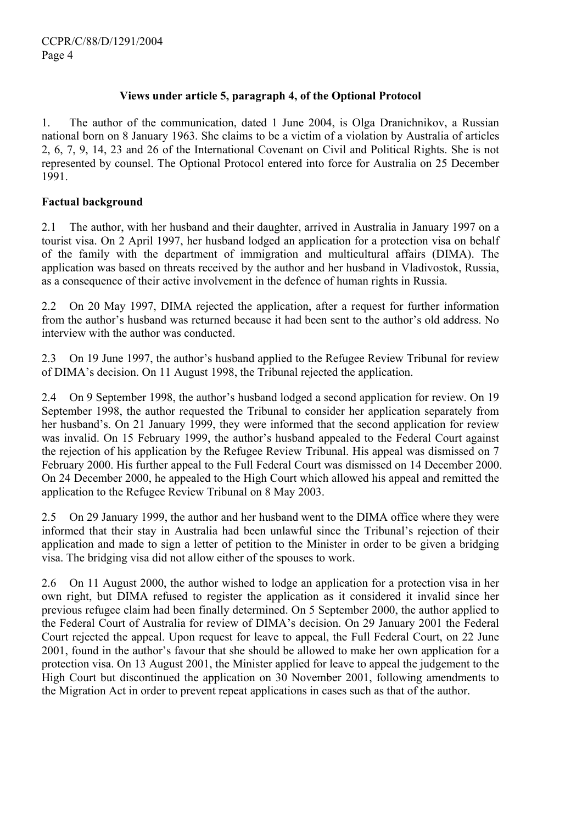# **Views under article 5, paragraph 4, of the Optional Protocol**

1. The author of the communication, dated 1 June 2004, is Olga Dranichnikov, a Russian national born on 8 January 1963. She claims to be a victim of a violation by Australia of articles 2, 6, 7, 9, 14, 23 and 26 of the International Covenant on Civil and Political Rights. She is not represented by counsel. The Optional Protocol entered into force for Australia on 25 December 1991.

#### **Factual background**

2.1 The author, with her husband and their daughter, arrived in Australia in January 1997 on a tourist visa. On 2 April 1997, her husband lodged an application for a protection visa on behalf of the family with the department of immigration and multicultural affairs (DIMA). The application was based on threats received by the author and her husband in Vladivostok, Russia, as a consequence of their active involvement in the defence of human rights in Russia.

2.2 On 20 May 1997, DIMA rejected the application, after a request for further information from the author's husband was returned because it had been sent to the author's old address. No interview with the author was conducted.

2.3 On 19 June 1997, the author's husband applied to the Refugee Review Tribunal for review of DIMA's decision. On 11 August 1998, the Tribunal rejected the application.

2.4 On 9 September 1998, the author's husband lodged a second application for review. On 19 September 1998, the author requested the Tribunal to consider her application separately from her husband's. On 21 January 1999, they were informed that the second application for review was invalid. On 15 February 1999, the author's husband appealed to the Federal Court against the rejection of his application by the Refugee Review Tribunal. His appeal was dismissed on 7 February 2000. His further appeal to the Full Federal Court was dismissed on 14 December 2000. On 24 December 2000, he appealed to the High Court which allowed his appeal and remitted the application to the Refugee Review Tribunal on 8 May 2003.

2.5 On 29 January 1999, the author and her husband went to the DIMA office where they were informed that their stay in Australia had been unlawful since the Tribunal's rejection of their application and made to sign a letter of petition to the Minister in order to be given a bridging visa. The bridging visa did not allow either of the spouses to work.

2.6 On 11 August 2000, the author wished to lodge an application for a protection visa in her own right, but DIMA refused to register the application as it considered it invalid since her previous refugee claim had been finally determined. On 5 September 2000, the author applied to the Federal Court of Australia for review of DIMA's decision. On 29 January 2001 the Federal Court rejected the appeal. Upon request for leave to appeal, the Full Federal Court, on 22 June 2001, found in the author's favour that she should be allowed to make her own application for a protection visa. On 13 August 2001, the Minister applied for leave to appeal the judgement to the High Court but discontinued the application on 30 November 2001, following amendments to the Migration Act in order to prevent repeat applications in cases such as that of the author.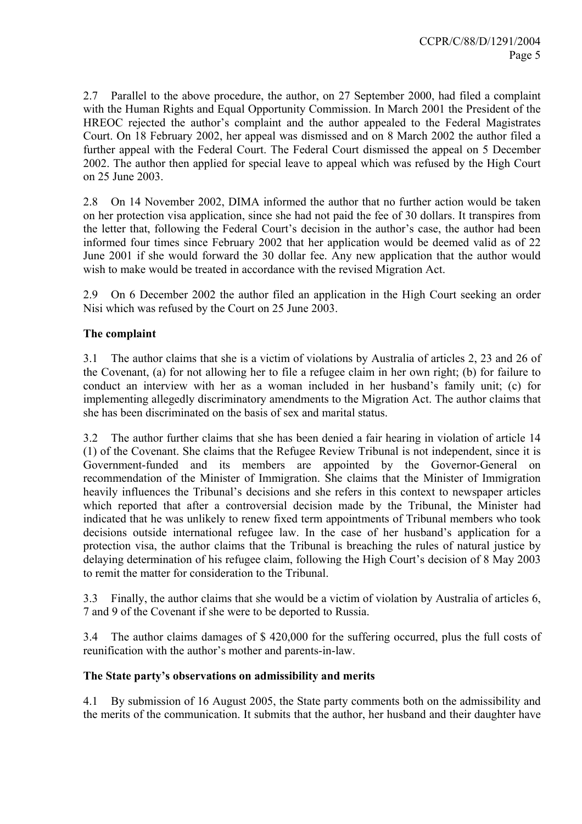2.7 Parallel to the above procedure, the author, on 27 September 2000, had filed a complaint with the Human Rights and Equal Opportunity Commission. In March 2001 the President of the HREOC rejected the author's complaint and the author appealed to the Federal Magistrates Court. On 18 February 2002, her appeal was dismissed and on 8 March 2002 the author filed a further appeal with the Federal Court. The Federal Court dismissed the appeal on 5 December 2002. The author then applied for special leave to appeal which was refused by the High Court on 25 June 2003.

2.8 On 14 November 2002, DIMA informed the author that no further action would be taken on her protection visa application, since she had not paid the fee of 30 dollars. It transpires from the letter that, following the Federal Court's decision in the author's case, the author had been informed four times since February 2002 that her application would be deemed valid as of 22 June 2001 if she would forward the 30 dollar fee. Any new application that the author would wish to make would be treated in accordance with the revised Migration Act.

2.9 On 6 December 2002 the author filed an application in the High Court seeking an order Nisi which was refused by the Court on 25 June 2003.

# **The complaint**

3.1 The author claims that she is a victim of violations by Australia of articles 2, 23 and 26 of the Covenant, (a) for not allowing her to file a refugee claim in her own right; (b) for failure to conduct an interview with her as a woman included in her husband's family unit; (c) for implementing allegedly discriminatory amendments to the Migration Act. The author claims that she has been discriminated on the basis of sex and marital status.

3.2 The author further claims that she has been denied a fair hearing in violation of article 14 (1) of the Covenant. She claims that the Refugee Review Tribunal is not independent, since it is Government-funded and its members are appointed by the Governor-General on recommendation of the Minister of Immigration. She claims that the Minister of Immigration heavily influences the Tribunal's decisions and she refers in this context to newspaper articles which reported that after a controversial decision made by the Tribunal, the Minister had indicated that he was unlikely to renew fixed term appointments of Tribunal members who took decisions outside international refugee law. In the case of her husband's application for a protection visa, the author claims that the Tribunal is breaching the rules of natural justice by delaying determination of his refugee claim, following the High Court's decision of 8 May 2003 to remit the matter for consideration to the Tribunal.

3.3 Finally, the author claims that she would be a victim of violation by Australia of articles 6, 7 and 9 of the Covenant if she were to be deported to Russia.

3.4 The author claims damages of \$ 420,000 for the suffering occurred, plus the full costs of reunification with the author's mother and parents-in-law.

# **The State party's observations on admissibility and merits**

4.1 By submission of 16 August 2005, the State party comments both on the admissibility and the merits of the communication. It submits that the author, her husband and their daughter have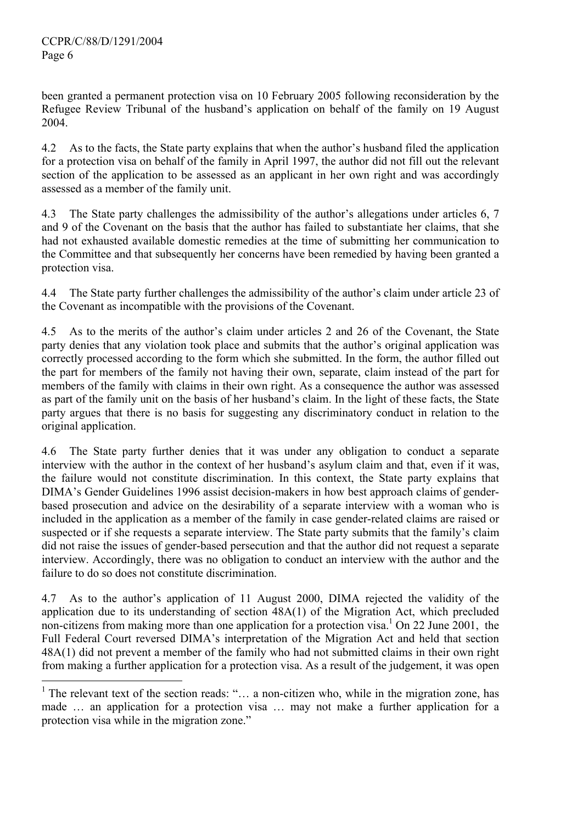$\overline{a}$ 

been granted a permanent protection visa on 10 February 2005 following reconsideration by the Refugee Review Tribunal of the husband's application on behalf of the family on 19 August 2004.

4.2 As to the facts, the State party explains that when the author's husband filed the application for a protection visa on behalf of the family in April 1997, the author did not fill out the relevant section of the application to be assessed as an applicant in her own right and was accordingly assessed as a member of the family unit.

4.3 The State party challenges the admissibility of the author's allegations under articles 6, 7 and 9 of the Covenant on the basis that the author has failed to substantiate her claims, that she had not exhausted available domestic remedies at the time of submitting her communication to the Committee and that subsequently her concerns have been remedied by having been granted a protection visa.

4.4 The State party further challenges the admissibility of the author's claim under article 23 of the Covenant as incompatible with the provisions of the Covenant.

4.5 As to the merits of the author's claim under articles 2 and 26 of the Covenant, the State party denies that any violation took place and submits that the author's original application was correctly processed according to the form which she submitted. In the form, the author filled out the part for members of the family not having their own, separate, claim instead of the part for members of the family with claims in their own right. As a consequence the author was assessed as part of the family unit on the basis of her husband's claim. In the light of these facts, the State party argues that there is no basis for suggesting any discriminatory conduct in relation to the original application.

4.6 The State party further denies that it was under any obligation to conduct a separate interview with the author in the context of her husband's asylum claim and that, even if it was, the failure would not constitute discrimination. In this context, the State party explains that DIMA's Gender Guidelines 1996 assist decision-makers in how best approach claims of genderbased prosecution and advice on the desirability of a separate interview with a woman who is included in the application as a member of the family in case gender-related claims are raised or suspected or if she requests a separate interview. The State party submits that the family's claim did not raise the issues of gender-based persecution and that the author did not request a separate interview. Accordingly, there was no obligation to conduct an interview with the author and the failure to do so does not constitute discrimination.

4.7 As to the author's application of 11 August 2000, DIMA rejected the validity of the application due to its understanding of section 48A(1) of the Migration Act, which precluded non-citizens from making more than one application for a protection visa.<sup>1</sup> On 22 June 2001, the Full Federal Court reversed DIMA's interpretation of the Migration Act and held that section 48A(1) did not prevent a member of the family who had not submitted claims in their own right from making a further application for a protection visa. As a result of the judgement, it was open

<sup>&</sup>lt;sup>1</sup> The relevant text of the section reads: "... a non-citizen who, while in the migration zone, has made … an application for a protection visa … may not make a further application for a protection visa while in the migration zone."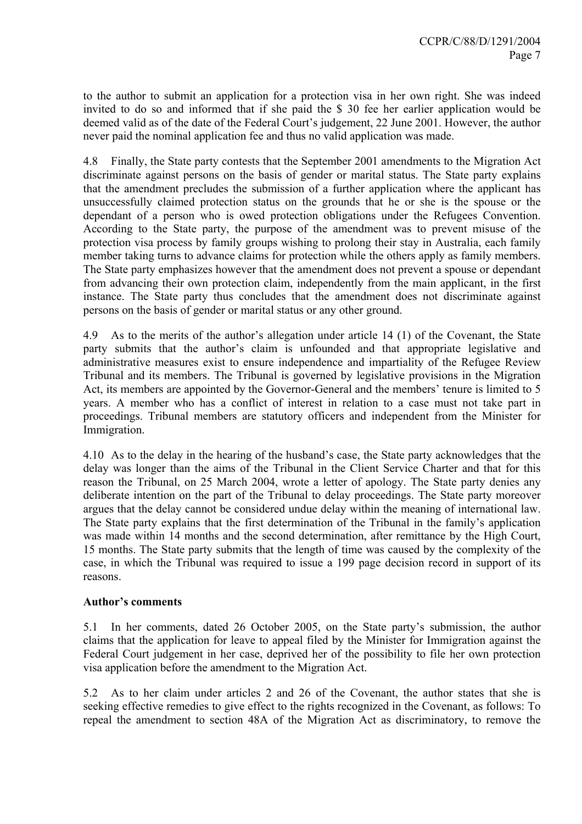to the author to submit an application for a protection visa in her own right. She was indeed invited to do so and informed that if she paid the \$ 30 fee her earlier application would be deemed valid as of the date of the Federal Court's judgement, 22 June 2001. However, the author never paid the nominal application fee and thus no valid application was made.

4.8 Finally, the State party contests that the September 2001 amendments to the Migration Act discriminate against persons on the basis of gender or marital status. The State party explains that the amendment precludes the submission of a further application where the applicant has unsuccessfully claimed protection status on the grounds that he or she is the spouse or the dependant of a person who is owed protection obligations under the Refugees Convention. According to the State party, the purpose of the amendment was to prevent misuse of the protection visa process by family groups wishing to prolong their stay in Australia, each family member taking turns to advance claims for protection while the others apply as family members. The State party emphasizes however that the amendment does not prevent a spouse or dependant from advancing their own protection claim, independently from the main applicant, in the first instance. The State party thus concludes that the amendment does not discriminate against persons on the basis of gender or marital status or any other ground.

4.9 As to the merits of the author's allegation under article 14 (1) of the Covenant, the State party submits that the author's claim is unfounded and that appropriate legislative and administrative measures exist to ensure independence and impartiality of the Refugee Review Tribunal and its members. The Tribunal is governed by legislative provisions in the Migration Act, its members are appointed by the Governor-General and the members' tenure is limited to 5 years. A member who has a conflict of interest in relation to a case must not take part in proceedings. Tribunal members are statutory officers and independent from the Minister for Immigration.

4.10 As to the delay in the hearing of the husband's case, the State party acknowledges that the delay was longer than the aims of the Tribunal in the Client Service Charter and that for this reason the Tribunal, on 25 March 2004, wrote a letter of apology. The State party denies any deliberate intention on the part of the Tribunal to delay proceedings. The State party moreover argues that the delay cannot be considered undue delay within the meaning of international law. The State party explains that the first determination of the Tribunal in the family's application was made within 14 months and the second determination, after remittance by the High Court, 15 months. The State party submits that the length of time was caused by the complexity of the case, in which the Tribunal was required to issue a 199 page decision record in support of its reasons.

#### **Author's comments**

5.1 In her comments, dated 26 October 2005, on the State party's submission, the author claims that the application for leave to appeal filed by the Minister for Immigration against the Federal Court judgement in her case, deprived her of the possibility to file her own protection visa application before the amendment to the Migration Act.

5.2 As to her claim under articles 2 and 26 of the Covenant, the author states that she is seeking effective remedies to give effect to the rights recognized in the Covenant, as follows: To repeal the amendment to section 48A of the Migration Act as discriminatory, to remove the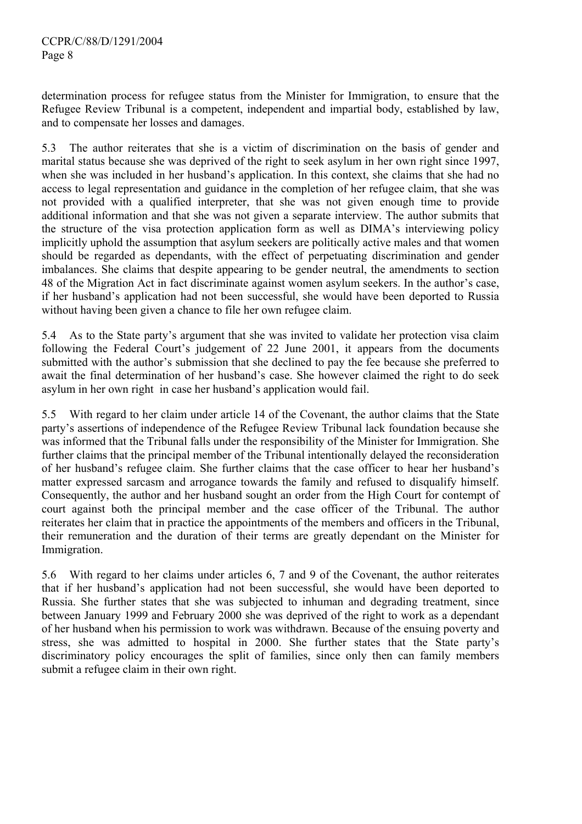determination process for refugee status from the Minister for Immigration, to ensure that the Refugee Review Tribunal is a competent, independent and impartial body, established by law, and to compensate her losses and damages.

5.3 The author reiterates that she is a victim of discrimination on the basis of gender and marital status because she was deprived of the right to seek asylum in her own right since 1997, when she was included in her husband's application. In this context, she claims that she had no access to legal representation and guidance in the completion of her refugee claim, that she was not provided with a qualified interpreter, that she was not given enough time to provide additional information and that she was not given a separate interview. The author submits that the structure of the visa protection application form as well as DIMA's interviewing policy implicitly uphold the assumption that asylum seekers are politically active males and that women should be regarded as dependants, with the effect of perpetuating discrimination and gender imbalances. She claims that despite appearing to be gender neutral, the amendments to section 48 of the Migration Act in fact discriminate against women asylum seekers. In the author's case, if her husband's application had not been successful, she would have been deported to Russia without having been given a chance to file her own refugee claim.

5.4 As to the State party's argument that she was invited to validate her protection visa claim following the Federal Court's judgement of 22 June 2001, it appears from the documents submitted with the author's submission that she declined to pay the fee because she preferred to await the final determination of her husband's case. She however claimed the right to do seek asylum in her own right in case her husband's application would fail.

5.5 With regard to her claim under article 14 of the Covenant, the author claims that the State party's assertions of independence of the Refugee Review Tribunal lack foundation because she was informed that the Tribunal falls under the responsibility of the Minister for Immigration. She further claims that the principal member of the Tribunal intentionally delayed the reconsideration of her husband's refugee claim. She further claims that the case officer to hear her husband's matter expressed sarcasm and arrogance towards the family and refused to disqualify himself. Consequently, the author and her husband sought an order from the High Court for contempt of court against both the principal member and the case officer of the Tribunal. The author reiterates her claim that in practice the appointments of the members and officers in the Tribunal, their remuneration and the duration of their terms are greatly dependant on the Minister for Immigration.

5.6 With regard to her claims under articles 6, 7 and 9 of the Covenant, the author reiterates that if her husband's application had not been successful, she would have been deported to Russia. She further states that she was subjected to inhuman and degrading treatment, since between January 1999 and February 2000 she was deprived of the right to work as a dependant of her husband when his permission to work was withdrawn. Because of the ensuing poverty and stress, she was admitted to hospital in 2000. She further states that the State party's discriminatory policy encourages the split of families, since only then can family members submit a refugee claim in their own right.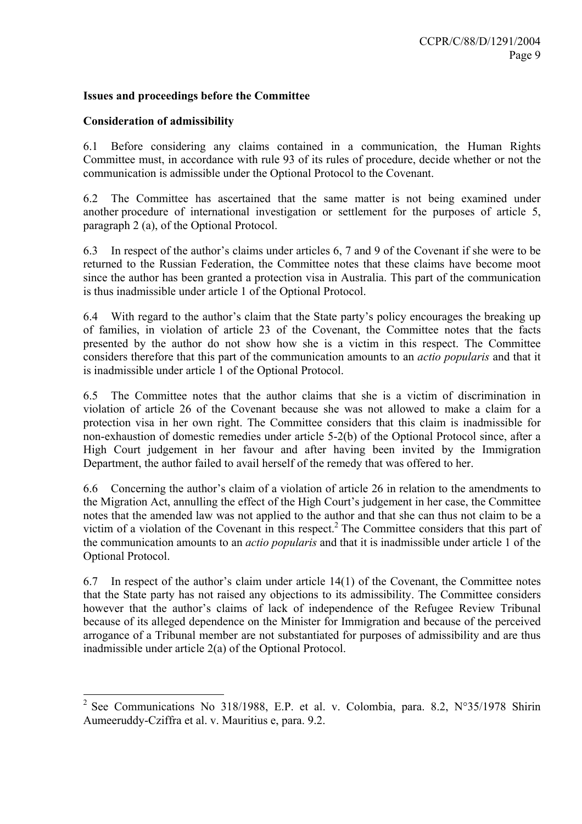## **Issues and proceedings before the Committee**

#### **Consideration of admissibility**

6.1 Before considering any claims contained in a communication, the Human Rights Committee must, in accordance with rule 93 of its rules of procedure, decide whether or not the communication is admissible under the Optional Protocol to the Covenant.

6.2 The Committee has ascertained that the same matter is not being examined under another procedure of international investigation or settlement for the purposes of article 5, paragraph 2 (a), of the Optional Protocol.

6.3 In respect of the author's claims under articles 6, 7 and 9 of the Covenant if she were to be returned to the Russian Federation, the Committee notes that these claims have become moot since the author has been granted a protection visa in Australia. This part of the communication is thus inadmissible under article 1 of the Optional Protocol.

6.4 With regard to the author's claim that the State party's policy encourages the breaking up of families, in violation of article 23 of the Covenant, the Committee notes that the facts presented by the author do not show how she is a victim in this respect. The Committee considers therefore that this part of the communication amounts to an *actio popularis* and that it is inadmissible under article 1 of the Optional Protocol.

6.5 The Committee notes that the author claims that she is a victim of discrimination in violation of article 26 of the Covenant because she was not allowed to make a claim for a protection visa in her own right. The Committee considers that this claim is inadmissible for non-exhaustion of domestic remedies under article 5-2(b) of the Optional Protocol since, after a High Court judgement in her favour and after having been invited by the Immigration Department, the author failed to avail herself of the remedy that was offered to her.

6.6 Concerning the author's claim of a violation of article 26 in relation to the amendments to the Migration Act, annulling the effect of the High Court's judgement in her case, the Committee notes that the amended law was not applied to the author and that she can thus not claim to be a victim of a violation of the Covenant in this respect.<sup>2</sup> The Committee considers that this part of the communication amounts to an *actio popularis* and that it is inadmissible under article 1 of the Optional Protocol.

6.7 In respect of the author's claim under article 14(1) of the Covenant, the Committee notes that the State party has not raised any objections to its admissibility. The Committee considers however that the author's claims of lack of independence of the Refugee Review Tribunal because of its alleged dependence on the Minister for Immigration and because of the perceived arrogance of a Tribunal member are not substantiated for purposes of admissibility and are thus inadmissible under article 2(a) of the Optional Protocol.

<sup>&</sup>lt;sup>2</sup> See Communications No 318/1988, E.P. et al. v. Colombia, para. 8.2, N°35/1978 Shirin Aumeeruddy-Cziffra et al. v. Mauritius e, para. 9.2.